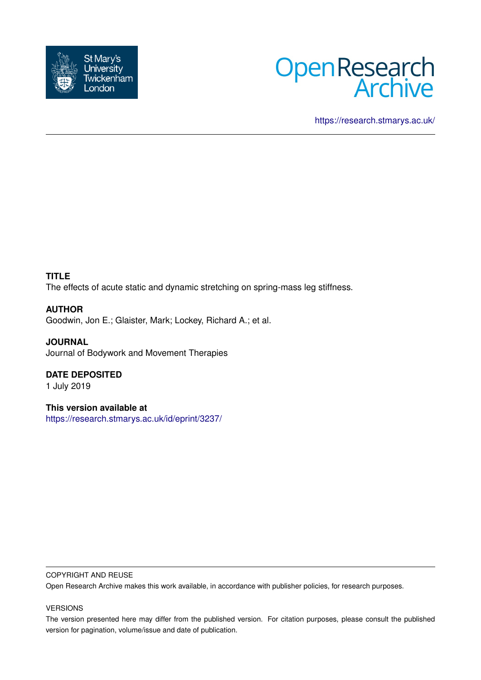



<https://research.stmarys.ac.uk/>

# **TITLE**

The effects of acute static and dynamic stretching on spring-mass leg stiffness.

# **AUTHOR**

Goodwin, Jon E.; Glaister, Mark; Lockey, Richard A.; et al.

**JOURNAL** Journal of Bodywork and Movement Therapies

# **DATE DEPOSITED**

1 July 2019

**This version available at** <https://research.stmarys.ac.uk/id/eprint/3237/>

### COPYRIGHT AND REUSE

Open Research Archive makes this work available, in accordance with publisher policies, for research purposes.

### VERSIONS

The version presented here may differ from the published version. For citation purposes, please consult the published version for pagination, volume/issue and date of publication.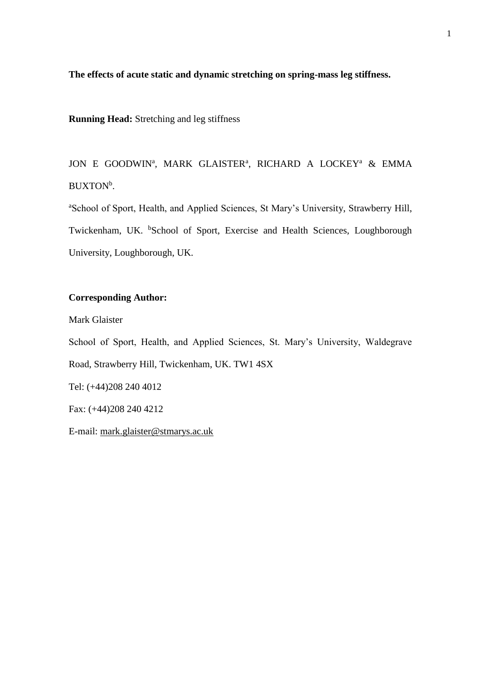**The effects of acute static and dynamic stretching on spring-mass leg stiffness.**

**Running Head:** Stretching and leg stiffness

JON E GOODWIN<sup>a</sup>, MARK GLAISTER<sup>a</sup>, RICHARD A LOCKEY<sup>a</sup> & EMMA BUXTON<sup>b</sup>.

<sup>a</sup>School of Sport, Health, and Applied Sciences, St Mary's University, Strawberry Hill, Twickenham, UK. <sup>b</sup>School of Sport, Exercise and Health Sciences, Loughborough University, Loughborough, UK.

# **Corresponding Author:**

Mark Glaister

School of Sport, Health, and Applied Sciences, St. Mary's University, Waldegrave Road, Strawberry Hill, Twickenham, UK. TW1 4SX Tel: (+44)208 240 4012 Fax: (+44)208 240 4212

E-mail: [mark.glaister@stmarys.ac.uk](mailto:mark.glaister@stmarys.ac.uk)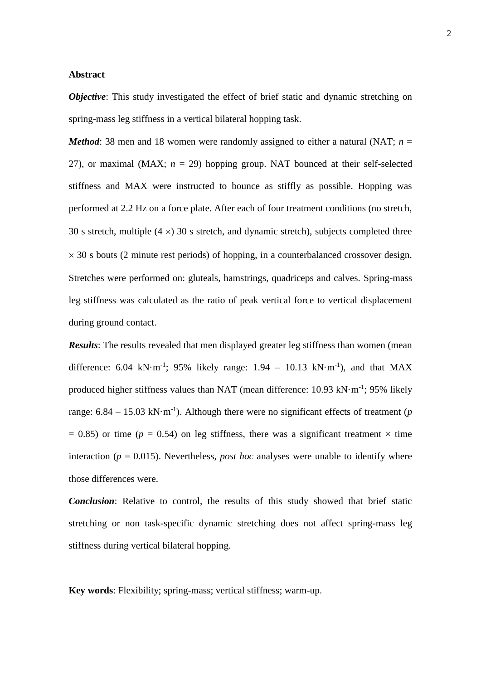#### **Abstract**

*Objective*: This study investigated the effect of brief static and dynamic stretching on spring-mass leg stiffness in a vertical bilateral hopping task.

*Method*: 38 men and 18 women were randomly assigned to either a natural (NAT;  $n =$ 27), or maximal (MAX;  $n = 29$ ) hopping group. NAT bounced at their self-selected stiffness and MAX were instructed to bounce as stiffly as possible. Hopping was performed at 2.2 Hz on a force plate. After each of four treatment conditions (no stretch, 30 s stretch, multiple  $(4 \times)$  30 s stretch, and dynamic stretch), subjects completed three  $\times$  30 s bouts (2 minute rest periods) of hopping, in a counterbalanced crossover design. Stretches were performed on: gluteals, hamstrings, quadriceps and calves. Spring-mass leg stiffness was calculated as the ratio of peak vertical force to vertical displacement during ground contact.

*Results*: The results revealed that men displayed greater leg stiffness than women (mean difference: 6.04 kN·m<sup>-1</sup>; 95% likely range:  $1.94 - 10.13$  kN·m<sup>-1</sup>), and that MAX produced higher stiffness values than NAT (mean difference: 10.93 kN·m<sup>-1</sup>; 95% likely range:  $6.84 - 15.03$  kN·m<sup>-1</sup>). Although there were no significant effects of treatment (*p*  $= 0.85$ ) or time ( $p = 0.54$ ) on leg stiffness, there was a significant treatment  $\times$  time interaction ( $p = 0.015$ ). Nevertheless, *post hoc* analyses were unable to identify where those differences were.

*Conclusion*: Relative to control, the results of this study showed that brief static stretching or non task-specific dynamic stretching does not affect spring-mass leg stiffness during vertical bilateral hopping.

**Key words**: Flexibility; spring-mass; vertical stiffness; warm-up.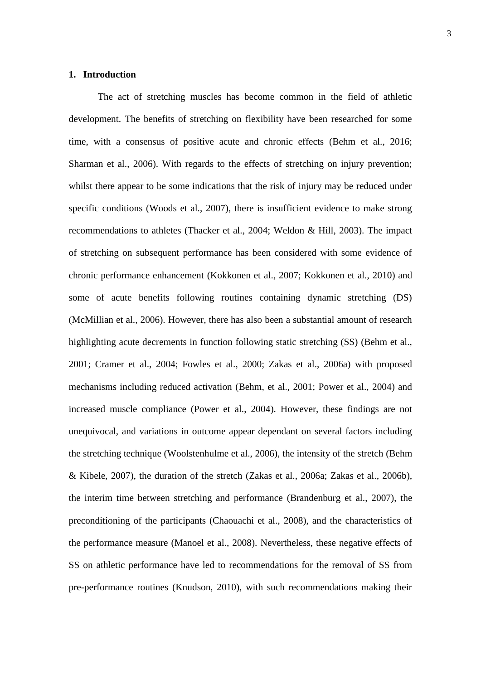#### **1. Introduction**

The act of stretching muscles has become common in the field of athletic development. The benefits of stretching on flexibility have been researched for some time, with a consensus of positive acute and chronic effects (Behm et al., 2016; Sharman et al., 2006). With regards to the effects of stretching on injury prevention; whilst there appear to be some indications that the risk of injury may be reduced under specific conditions (Woods et al., 2007), there is insufficient evidence to make strong recommendations to athletes (Thacker et al., 2004; Weldon & Hill, 2003). The impact of stretching on subsequent performance has been considered with some evidence of chronic performance enhancement (Kokkonen et al., 2007; Kokkonen et al., 2010) and some of acute benefits following routines containing dynamic stretching (DS) (McMillian et al., 2006). However, there has also been a substantial amount of research highlighting acute decrements in function following static stretching (SS) (Behm et al., 2001; Cramer et al., 2004; Fowles et al., 2000; Zakas et al., 2006a) with proposed mechanisms including reduced activation (Behm, et al., 2001; Power et al., 2004) and increased muscle compliance (Power et al., 2004). However, these findings are not unequivocal, and variations in outcome appear dependant on several factors including the stretching technique (Woolstenhulme et al., 2006), the intensity of the stretch (Behm & Kibele, 2007), the duration of the stretch (Zakas et al., 2006a; Zakas et al., 2006b), the interim time between stretching and performance (Brandenburg et al., 2007), the preconditioning of the participants (Chaouachi et al., 2008), and the characteristics of the performance measure (Manoel et al., 2008). Nevertheless, these negative effects of SS on athletic performance have led to recommendations for the removal of SS from pre-performance routines (Knudson, 2010), with such recommendations making their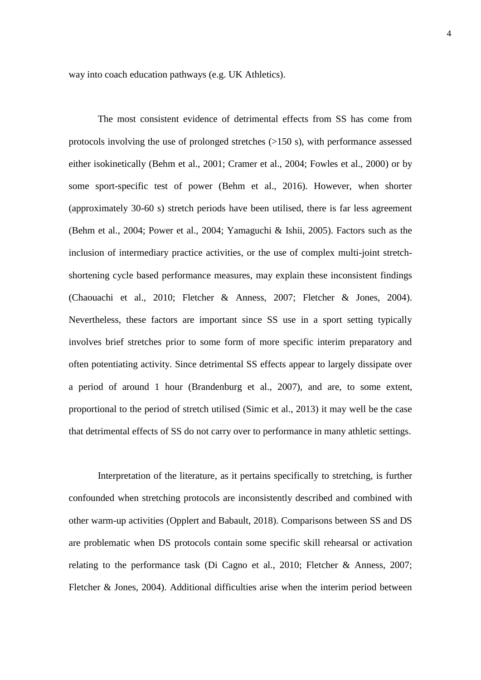way into coach education pathways (e.g. UK Athletics).

The most consistent evidence of detrimental effects from SS has come from protocols involving the use of prolonged stretches (>150 s), with performance assessed either isokinetically (Behm et al., 2001; Cramer et al., 2004; Fowles et al., 2000) or by some sport-specific test of power (Behm et al., 2016). However, when shorter (approximately 30-60 s) stretch periods have been utilised, there is far less agreement (Behm et al., 2004; Power et al., 2004; Yamaguchi & Ishii, 2005). Factors such as the inclusion of intermediary practice activities, or the use of complex multi-joint stretchshortening cycle based performance measures, may explain these inconsistent findings (Chaouachi et al., 2010; Fletcher & Anness, 2007; Fletcher & Jones, 2004). Nevertheless, these factors are important since SS use in a sport setting typically involves brief stretches prior to some form of more specific interim preparatory and often potentiating activity. Since detrimental SS effects appear to largely dissipate over a period of around 1 hour (Brandenburg et al., 2007), and are, to some extent, proportional to the period of stretch utilised (Simic et al., 2013) it may well be the case that detrimental effects of SS do not carry over to performance in many athletic settings.

Interpretation of the literature, as it pertains specifically to stretching, is further confounded when stretching protocols are inconsistently described and combined with other warm-up activities (Opplert and Babault, 2018). Comparisons between SS and DS are problematic when DS protocols contain some specific skill rehearsal or activation relating to the performance task (Di Cagno et al., 2010; Fletcher & Anness, 2007; Fletcher & Jones, 2004). Additional difficulties arise when the interim period between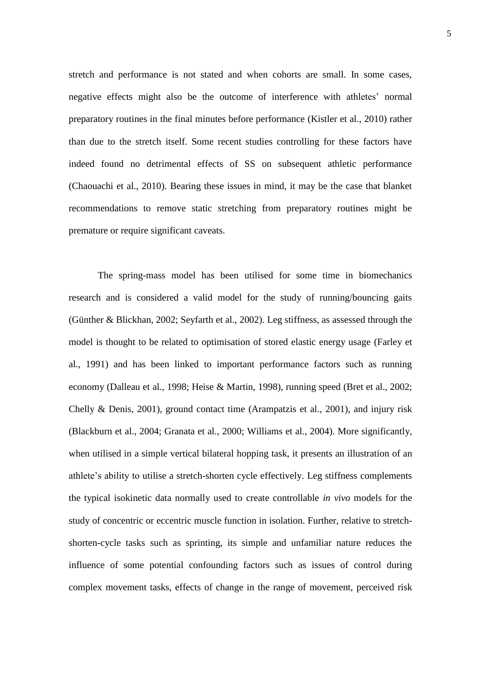stretch and performance is not stated and when cohorts are small. In some cases, negative effects might also be the outcome of interference with athletes' normal preparatory routines in the final minutes before performance (Kistler et al., 2010) rather than due to the stretch itself. Some recent studies controlling for these factors have indeed found no detrimental effects of SS on subsequent athletic performance (Chaouachi et al., 2010). Bearing these issues in mind, it may be the case that blanket recommendations to remove static stretching from preparatory routines might be premature or require significant caveats.

The spring-mass model has been utilised for some time in biomechanics research and is considered a valid model for the study of running/bouncing gaits (Günther & Blickhan, 2002; Seyfarth et al., 2002). Leg stiffness, as assessed through the model is thought to be related to optimisation of stored elastic energy usage (Farley et al., 1991) and has been linked to important performance factors such as running economy (Dalleau et al., 1998; Heise & Martin, 1998), running speed (Bret et al., 2002; Chelly & Denis, 2001), ground contact time (Arampatzis et al., 2001), and injury risk (Blackburn et al., 2004; Granata et al., 2000; Williams et al., 2004). More significantly, when utilised in a simple vertical bilateral hopping task, it presents an illustration of an athlete's ability to utilise a stretch-shorten cycle effectively. Leg stiffness complements the typical isokinetic data normally used to create controllable *in vivo* models for the study of concentric or eccentric muscle function in isolation. Further, relative to stretchshorten-cycle tasks such as sprinting, its simple and unfamiliar nature reduces the influence of some potential confounding factors such as issues of control during complex movement tasks, effects of change in the range of movement, perceived risk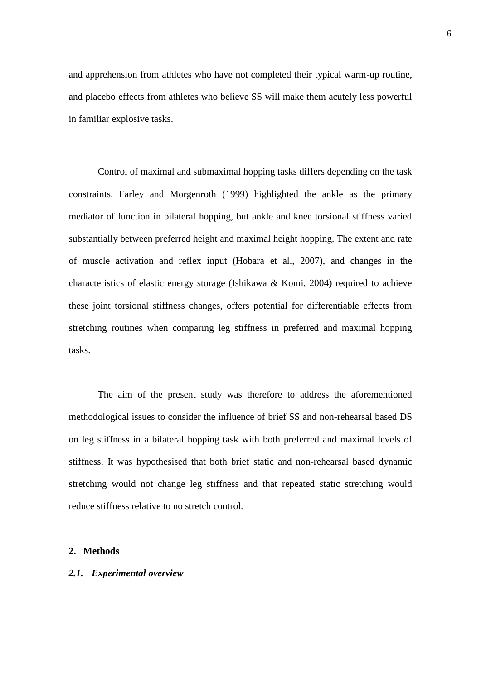and apprehension from athletes who have not completed their typical warm-up routine, and placebo effects from athletes who believe SS will make them acutely less powerful in familiar explosive tasks.

Control of maximal and submaximal hopping tasks differs depending on the task constraints. Farley and Morgenroth (1999) highlighted the ankle as the primary mediator of function in bilateral hopping, but ankle and knee torsional stiffness varied substantially between preferred height and maximal height hopping. The extent and rate of muscle activation and reflex input (Hobara et al., 2007), and changes in the characteristics of elastic energy storage (Ishikawa & Komi, 2004) required to achieve these joint torsional stiffness changes, offers potential for differentiable effects from stretching routines when comparing leg stiffness in preferred and maximal hopping tasks.

The aim of the present study was therefore to address the aforementioned methodological issues to consider the influence of brief SS and non-rehearsal based DS on leg stiffness in a bilateral hopping task with both preferred and maximal levels of stiffness. It was hypothesised that both brief static and non-rehearsal based dynamic stretching would not change leg stiffness and that repeated static stretching would reduce stiffness relative to no stretch control.

#### **2. Methods**

#### *2.1. Experimental overview*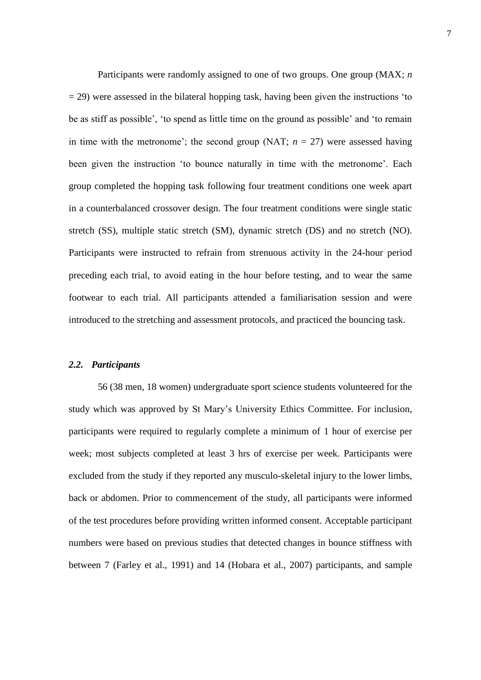Participants were randomly assigned to one of two groups. One group (MAX; *n*  $=$  29) were assessed in the bilateral hopping task, having been given the instructions 'to be as stiff as possible', 'to spend as little time on the ground as possible' and 'to remain in time with the metronome'; the second group (NAT;  $n = 27$ ) were assessed having been given the instruction 'to bounce naturally in time with the metronome'. Each group completed the hopping task following four treatment conditions one week apart in a counterbalanced crossover design. The four treatment conditions were single static stretch (SS), multiple static stretch (SM), dynamic stretch (DS) and no stretch (NO). Participants were instructed to refrain from strenuous activity in the 24-hour period preceding each trial, to avoid eating in the hour before testing, and to wear the same footwear to each trial. All participants attended a familiarisation session and were introduced to the stretching and assessment protocols, and practiced the bouncing task.

#### *2.2. Participants*

56 (38 men, 18 women) undergraduate sport science students volunteered for the study which was approved by St Mary's University Ethics Committee. For inclusion, participants were required to regularly complete a minimum of 1 hour of exercise per week; most subjects completed at least 3 hrs of exercise per week. Participants were excluded from the study if they reported any musculo-skeletal injury to the lower limbs, back or abdomen. Prior to commencement of the study, all participants were informed of the test procedures before providing written informed consent. Acceptable participant numbers were based on previous studies that detected changes in bounce stiffness with between 7 (Farley et al., 1991) and 14 (Hobara et al., 2007) participants, and sample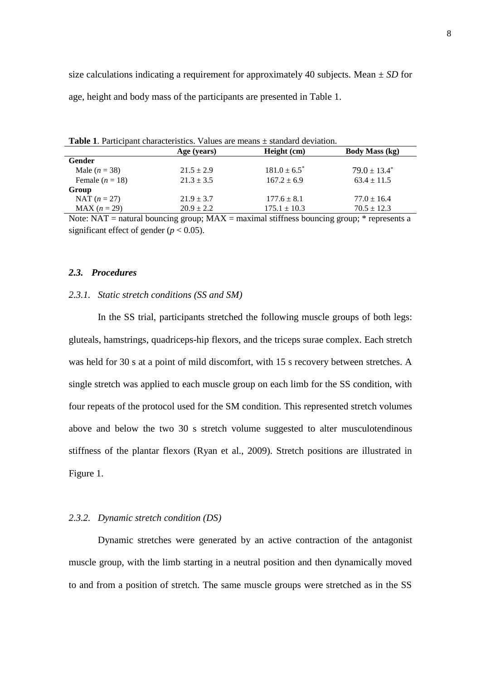size calculations indicating a requirement for approximately 40 subjects. Mean ± *SD* for age, height and body mass of the participants are presented in Table 1.

| <b>Table 1.</b> Participant characteristics. Values are means $\pm$ standard deviation.                                                                                                                                                                                                                                                            |                |                   |                                                                                                                                                                                                                                |  |  |  |  |  |  |  |
|----------------------------------------------------------------------------------------------------------------------------------------------------------------------------------------------------------------------------------------------------------------------------------------------------------------------------------------------------|----------------|-------------------|--------------------------------------------------------------------------------------------------------------------------------------------------------------------------------------------------------------------------------|--|--|--|--|--|--|--|
|                                                                                                                                                                                                                                                                                                                                                    | Age (years)    | Height (cm)       | <b>Body Mass (kg)</b>                                                                                                                                                                                                          |  |  |  |  |  |  |  |
| Gender                                                                                                                                                                                                                                                                                                                                             |                |                   |                                                                                                                                                                                                                                |  |  |  |  |  |  |  |
| Male $(n = 38)$                                                                                                                                                                                                                                                                                                                                    | $21.5 \pm 2.9$ | $181.0 \pm 6.5^*$ | $79.0 \pm 13.4^*$                                                                                                                                                                                                              |  |  |  |  |  |  |  |
| Female $(n = 18)$                                                                                                                                                                                                                                                                                                                                  | $21.3 \pm 3.5$ | $167.2 \pm 6.9$   | $63.4 \pm 11.5$                                                                                                                                                                                                                |  |  |  |  |  |  |  |
| Group                                                                                                                                                                                                                                                                                                                                              |                |                   |                                                                                                                                                                                                                                |  |  |  |  |  |  |  |
| NAT $(n = 27)$                                                                                                                                                                                                                                                                                                                                     | $21.9 \pm 3.7$ | $177.6 \pm 8.1$   | $77.0 \pm 16.4$                                                                                                                                                                                                                |  |  |  |  |  |  |  |
| $MAX (n = 29)$                                                                                                                                                                                                                                                                                                                                     | $20.9 \pm 2.2$ | $175.1 \pm 10.3$  | $70.5 \pm 12.3$                                                                                                                                                                                                                |  |  |  |  |  |  |  |
| $\mathbf{v}$ $\mathbf{v}$ $\mathbf{v}$ $\mathbf{v}$ $\mathbf{v}$ $\mathbf{v}$ $\mathbf{v}$ $\mathbf{v}$ $\mathbf{v}$ $\mathbf{v}$ $\mathbf{v}$ $\mathbf{v}$ $\mathbf{v}$ $\mathbf{v}$ $\mathbf{v}$ $\mathbf{v}$ $\mathbf{v}$ $\mathbf{v}$ $\mathbf{v}$ $\mathbf{v}$ $\mathbf{v}$ $\mathbf{v}$ $\mathbf{v}$ $\mathbf{v}$ $\mathbf{$<br>$\mathbf{1}$ | <b>BFITT</b>   | $1.00$ $1.00$     | and the contract of the contract of the contract of the contract of the contract of the contract of the contract of the contract of the contract of the contract of the contract of the contract of the contract of the contra |  |  |  |  |  |  |  |

**Table 1**. Participant characteristics. Values are means ± standard deviation.

Note: NAT = natural bouncing group;  $MAX =$  maximal stiffness bouncing group;  $*$  represents a significant effect of gender ( $p < 0.05$ ).

### *2.3. Procedures*

#### *2.3.1. Static stretch conditions (SS and SM)*

In the SS trial, participants stretched the following muscle groups of both legs: gluteals, hamstrings, quadriceps-hip flexors, and the triceps surae complex. Each stretch was held for 30 s at a point of mild discomfort, with 15 s recovery between stretches. A single stretch was applied to each muscle group on each limb for the SS condition, with four repeats of the protocol used for the SM condition. This represented stretch volumes above and below the two 30 s stretch volume suggested to alter musculotendinous stiffness of the plantar flexors (Ryan et al., 2009). Stretch positions are illustrated in Figure 1.

#### *2.3.2. Dynamic stretch condition (DS)*

Dynamic stretches were generated by an active contraction of the antagonist muscle group, with the limb starting in a neutral position and then dynamically moved to and from a position of stretch. The same muscle groups were stretched as in the SS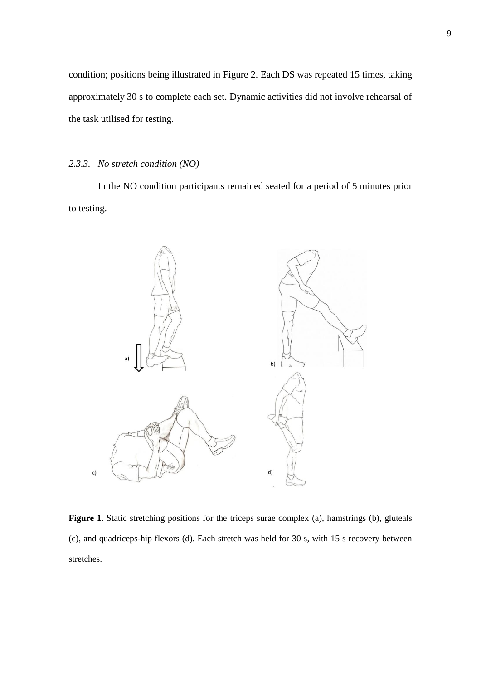condition; positions being illustrated in Figure 2. Each DS was repeated 15 times, taking approximately 30 s to complete each set. Dynamic activities did not involve rehearsal of the task utilised for testing.

### *2.3.3. No stretch condition (NO)*

In the NO condition participants remained seated for a period of 5 minutes prior to testing.



Figure 1. Static stretching positions for the triceps surae complex (a), hamstrings (b), gluteals (c), and quadriceps-hip flexors (d). Each stretch was held for 30 s, with 15 s recovery between stretches.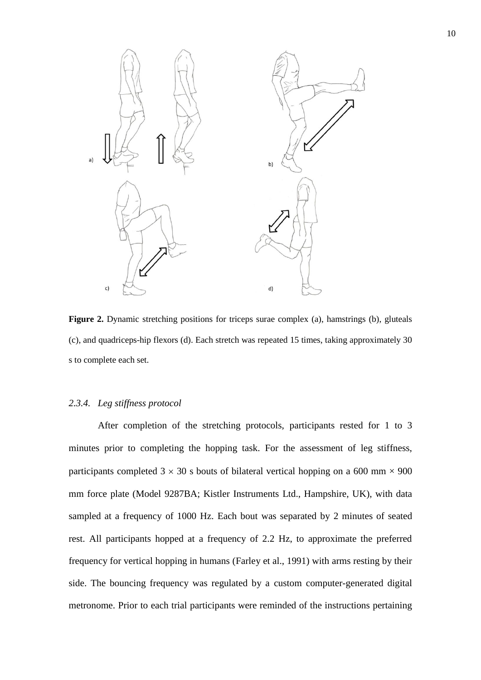

Figure 2. Dynamic stretching positions for triceps surae complex (a), hamstrings (b), gluteals (c), and quadriceps-hip flexors (d). Each stretch was repeated 15 times, taking approximately 30 s to complete each set.

### *2.3.4. Leg stiffness protocol*

After completion of the stretching protocols, participants rested for 1 to 3 minutes prior to completing the hopping task. For the assessment of leg stiffness, participants completed  $3 \times 30$  s bouts of bilateral vertical hopping on a 600 mm  $\times$  900 mm force plate (Model 9287BA; Kistler Instruments Ltd., Hampshire, UK), with data sampled at a frequency of 1000 Hz. Each bout was separated by 2 minutes of seated rest. All participants hopped at a frequency of 2.2 Hz, to approximate the preferred frequency for vertical hopping in humans (Farley et al., 1991) with arms resting by their side. The bouncing frequency was regulated by a custom computer-generated digital metronome. Prior to each trial participants were reminded of the instructions pertaining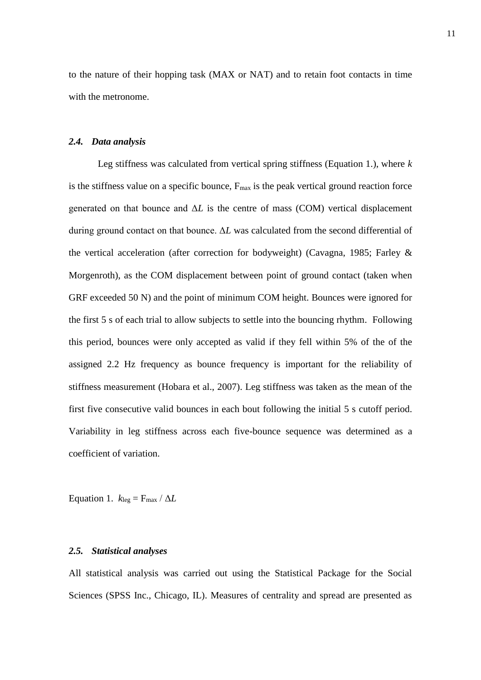to the nature of their hopping task (MAX or NAT) and to retain foot contacts in time with the metronome.

### *2.4. Data analysis*

Leg stiffness was calculated from vertical spring stiffness (Equation 1.), where *k* is the stiffness value on a specific bounce,  $F_{\text{max}}$  is the peak vertical ground reaction force generated on that bounce and Δ*L* is the centre of mass (COM) vertical displacement during ground contact on that bounce. Δ*L* was calculated from the second differential of the vertical acceleration (after correction for bodyweight) (Cavagna, 1985; Farley & Morgenroth), as the COM displacement between point of ground contact (taken when GRF exceeded 50 N) and the point of minimum COM height. Bounces were ignored for the first 5 s of each trial to allow subjects to settle into the bouncing rhythm. Following this period, bounces were only accepted as valid if they fell within 5% of the of the assigned 2.2 Hz frequency as bounce frequency is important for the reliability of stiffness measurement (Hobara et al., 2007). Leg stiffness was taken as the mean of the first five consecutive valid bounces in each bout following the initial 5 s cutoff period. Variability in leg stiffness across each five-bounce sequence was determined as a coefficient of variation.

Equation 1.  $k_{\text{leg}} = F_{\text{max}} / \Delta L$ 

#### *2.5. Statistical analyses*

All statistical analysis was carried out using the Statistical Package for the Social Sciences (SPSS Inc., Chicago, IL). Measures of centrality and spread are presented as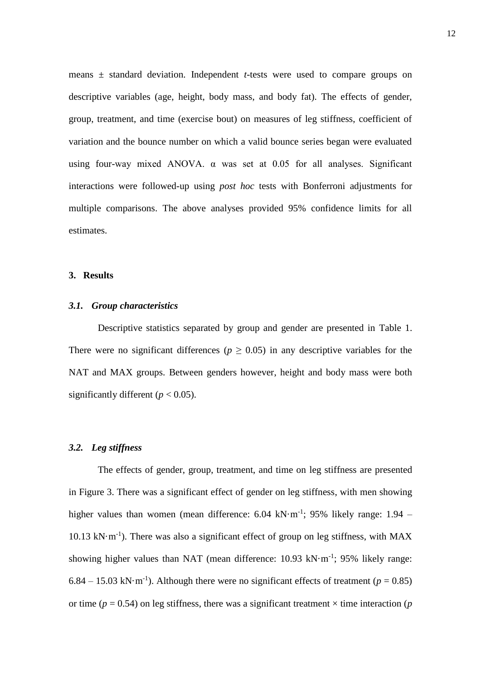means ± standard deviation. Independent *t*-tests were used to compare groups on descriptive variables (age, height, body mass, and body fat). The effects of gender, group, treatment, and time (exercise bout) on measures of leg stiffness, coefficient of variation and the bounce number on which a valid bounce series began were evaluated using four-way mixed ANOVA. α was set at 0.05 for all analyses. Significant interactions were followed-up using *post hoc* tests with Bonferroni adjustments for multiple comparisons. The above analyses provided 95% confidence limits for all estimates.

#### **3. Results**

### *3.1. Group characteristics*

Descriptive statistics separated by group and gender are presented in Table 1. There were no significant differences ( $p \ge 0.05$ ) in any descriptive variables for the NAT and MAX groups. Between genders however, height and body mass were both significantly different  $(p < 0.05)$ .

# *3.2. Leg stiffness*

The effects of gender, group, treatment, and time on leg stiffness are presented in Figure 3. There was a significant effect of gender on leg stiffness, with men showing higher values than women (mean difference: 6.04 kN·m<sup>-1</sup>; 95% likely range: 1.94 -10.13 kN $\cdot$ m<sup>-1</sup>). There was also a significant effect of group on leg stiffness, with MAX showing higher values than NAT (mean difference:  $10.93 \text{ kN·m}^{-1}$ ; 95% likely range:  $6.84 - 15.03$  kN·m<sup>-1</sup>). Although there were no significant effects of treatment ( $p = 0.85$ ) or time ( $p = 0.54$ ) on leg stiffness, there was a significant treatment  $\times$  time interaction ( $p$ )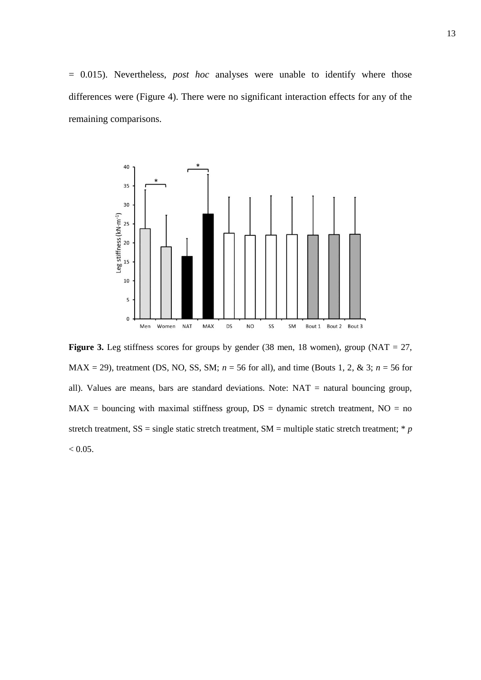= 0.015). Nevertheless, *post hoc* analyses were unable to identify where those differences were (Figure 4). There were no significant interaction effects for any of the remaining comparisons.



**Figure 3.** Leg stiffness scores for groups by gender (38 men, 18 women), group (NAT = 27,  $MAX = 29$ , treatment (DS, NO, SS, SM;  $n = 56$  for all), and time (Bouts 1, 2, & 3;  $n = 56$  for all). Values are means, bars are standard deviations. Note: NAT = natural bouncing group,  $MAX =$  bouncing with maximal stiffness group,  $DS =$  dynamic stretch treatment,  $NO =$  no stretch treatment,  $SS = \text{single static stretch treatment}, SM = \text{multiple static stretch treatment}; * p$  $< 0.05$ .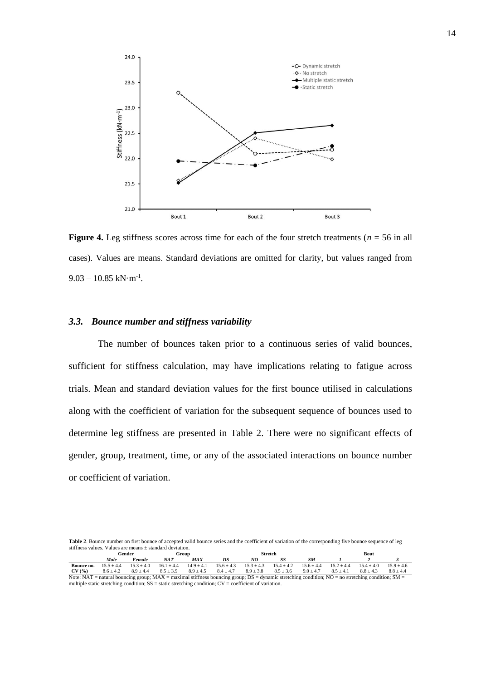

**Figure 4.** Leg stiffness scores across time for each of the four stretch treatments ( $n = 56$  in all cases). Values are means. Standard deviations are omitted for clarity, but values ranged from  $9.03 - 10.85$  kN·m<sup>-1</sup>.

#### *3.3. Bounce number and stiffness variability*

The number of bounces taken prior to a continuous series of valid bounces, sufficient for stiffness calculation, may have implications relating to fatigue across trials. Mean and standard deviation values for the first bounce utilised in calculations along with the coefficient of variation for the subsequent sequence of bounces used to determine leg stiffness are presented in Table 2. There were no significant effects of gender, group, treatment, time, or any of the associated interactions on bounce number or coefficient of variation.

Table 2. Bounce number on first bounce of accepted valid bounce series and the coefficient of variation of the corresponding five bounce sequence of leg stiffness values. Values are means ± standard deviation.

|                                                                                                                                                                                                                                                            | Gender        |                | Group          |                | Stretch        |                |                |                | Bout          |              |              |
|------------------------------------------------------------------------------------------------------------------------------------------------------------------------------------------------------------------------------------------------------------|---------------|----------------|----------------|----------------|----------------|----------------|----------------|----------------|---------------|--------------|--------------|
|                                                                                                                                                                                                                                                            | Male          | $F$ emale      | NAT            | <b>MAX</b>     |                | NG             |                | SM             |               |              |              |
| Bounce no.                                                                                                                                                                                                                                                 | $15.5 + 4.4$  | $15.3 \pm 4.0$ | $16.1 \pm 4.4$ | $14.9 \pm 4.1$ | $15.6 \pm 4.3$ | $15.3 \pm 4.3$ | $15.4 \pm 4.2$ | $15.6 \pm 4.4$ | $15.2 + 4.4$  | $15.4 + 4.0$ | $15.9 + 4.6$ |
| CV(%)                                                                                                                                                                                                                                                      | $8.6 \pm 4.2$ | $8.9 \pm 4.4$  | $8.5 \pm 3.9$  | $8.9 \pm 4.5$  | $8.4 \pm 4.7$  | $8.9 \pm 3.8$  | $8.5 \pm 3.6$  | $9.0 \pm 4.7$  | $8.5 \pm 4.1$ | $8.8 + 4.3$  | $8.8 + 4.4$  |
| $M_{\rm{max}}$ , $M_{\rm{eff}}$ , and the second $M_{\rm{eff}}$ , and $M_{\rm{eff}}$ and $M_{\rm{eff}}$ , and the second $M_{\rm{eff}}$ , and the second second second second secondary secondary. $M_{\rm{eff}}$ , and secondary secondary $M_{\rm{eff}}$ |               |                |                |                |                |                |                |                |               |              |              |

Note: NAT = natural bouncing group; MAX = maximal stiffness bouncing group; DS = dynamic stretching condition; NO = no stretching condition; SM = multiple static stretching condition; SS = static stretching condition; CV = coefficient of variation.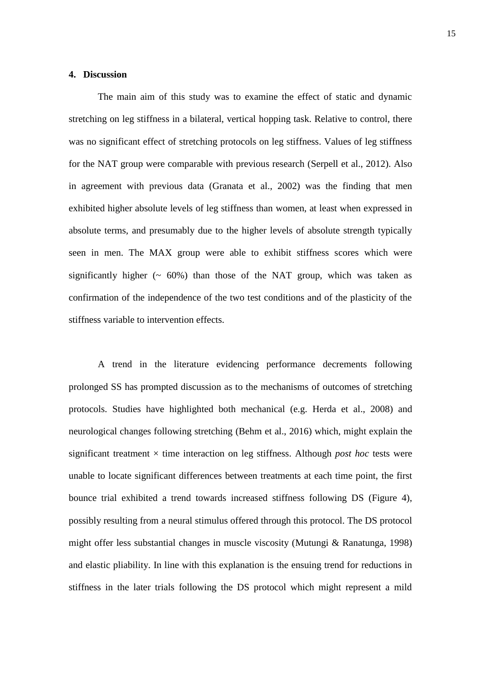### **4. Discussion**

The main aim of this study was to examine the effect of static and dynamic stretching on leg stiffness in a bilateral, vertical hopping task. Relative to control, there was no significant effect of stretching protocols on leg stiffness. Values of leg stiffness for the NAT group were comparable with previous research (Serpell et al., 2012). Also in agreement with previous data (Granata et al., 2002) was the finding that men exhibited higher absolute levels of leg stiffness than women, at least when expressed in absolute terms, and presumably due to the higher levels of absolute strength typically seen in men. The MAX group were able to exhibit stiffness scores which were significantly higher  $(~60\%)$  than those of the NAT group, which was taken as confirmation of the independence of the two test conditions and of the plasticity of the stiffness variable to intervention effects.

A trend in the literature evidencing performance decrements following prolonged SS has prompted discussion as to the mechanisms of outcomes of stretching protocols. Studies have highlighted both mechanical (e.g. Herda et al., 2008) and neurological changes following stretching (Behm et al., 2016) which, might explain the significant treatment  $\times$  time interaction on leg stiffness. Although *post hoc* tests were unable to locate significant differences between treatments at each time point, the first bounce trial exhibited a trend towards increased stiffness following DS (Figure 4), possibly resulting from a neural stimulus offered through this protocol. The DS protocol might offer less substantial changes in muscle viscosity (Mutungi & Ranatunga, 1998) and elastic pliability. In line with this explanation is the ensuing trend for reductions in stiffness in the later trials following the DS protocol which might represent a mild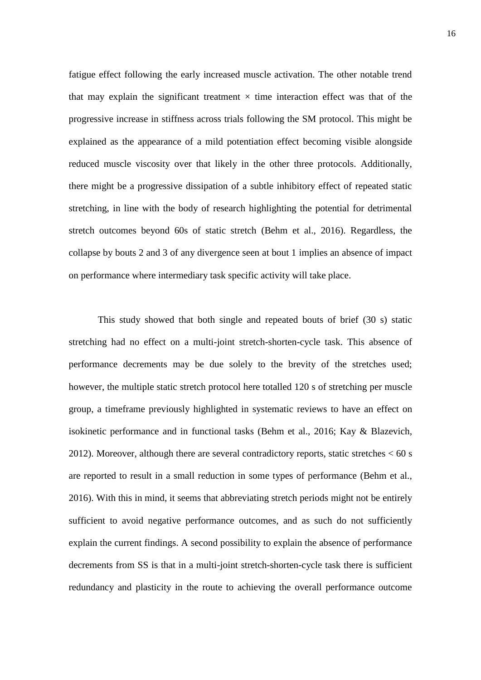fatigue effect following the early increased muscle activation. The other notable trend that may explain the significant treatment  $\times$  time interaction effect was that of the progressive increase in stiffness across trials following the SM protocol. This might be explained as the appearance of a mild potentiation effect becoming visible alongside reduced muscle viscosity over that likely in the other three protocols. Additionally, there might be a progressive dissipation of a subtle inhibitory effect of repeated static stretching, in line with the body of research highlighting the potential for detrimental stretch outcomes beyond 60s of static stretch (Behm et al., 2016). Regardless, the collapse by bouts 2 and 3 of any divergence seen at bout 1 implies an absence of impact on performance where intermediary task specific activity will take place.

This study showed that both single and repeated bouts of brief (30 s) static stretching had no effect on a multi-joint stretch-shorten-cycle task. This absence of performance decrements may be due solely to the brevity of the stretches used; however, the multiple static stretch protocol here totalled 120 s of stretching per muscle group, a timeframe previously highlighted in systematic reviews to have an effect on isokinetic performance and in functional tasks (Behm et al., 2016; Kay & Blazevich, 2012). Moreover, although there are several contradictory reports, static stretches  $< 60$  s are reported to result in a small reduction in some types of performance (Behm et al., 2016). With this in mind, it seems that abbreviating stretch periods might not be entirely sufficient to avoid negative performance outcomes, and as such do not sufficiently explain the current findings. A second possibility to explain the absence of performance decrements from SS is that in a multi-joint stretch-shorten-cycle task there is sufficient redundancy and plasticity in the route to achieving the overall performance outcome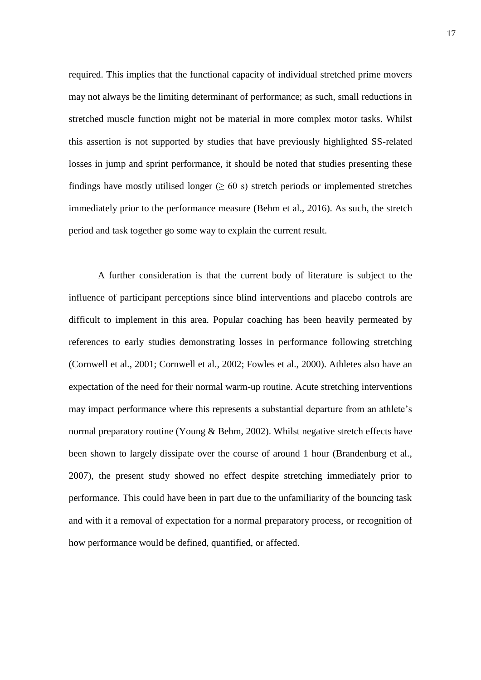required. This implies that the functional capacity of individual stretched prime movers may not always be the limiting determinant of performance; as such, small reductions in stretched muscle function might not be material in more complex motor tasks. Whilst this assertion is not supported by studies that have previously highlighted SS-related losses in jump and sprint performance, it should be noted that studies presenting these findings have mostly utilised longer ( $\geq 60$  s) stretch periods or implemented stretches immediately prior to the performance measure (Behm et al., 2016). As such, the stretch period and task together go some way to explain the current result.

A further consideration is that the current body of literature is subject to the influence of participant perceptions since blind interventions and placebo controls are difficult to implement in this area. Popular coaching has been heavily permeated by references to early studies demonstrating losses in performance following stretching (Cornwell et al., 2001; Cornwell et al., 2002; Fowles et al., 2000). Athletes also have an expectation of the need for their normal warm-up routine. Acute stretching interventions may impact performance where this represents a substantial departure from an athlete's normal preparatory routine (Young & Behm, 2002). Whilst negative stretch effects have been shown to largely dissipate over the course of around 1 hour (Brandenburg et al., 2007), the present study showed no effect despite stretching immediately prior to performance. This could have been in part due to the unfamiliarity of the bouncing task and with it a removal of expectation for a normal preparatory process, or recognition of how performance would be defined, quantified, or affected.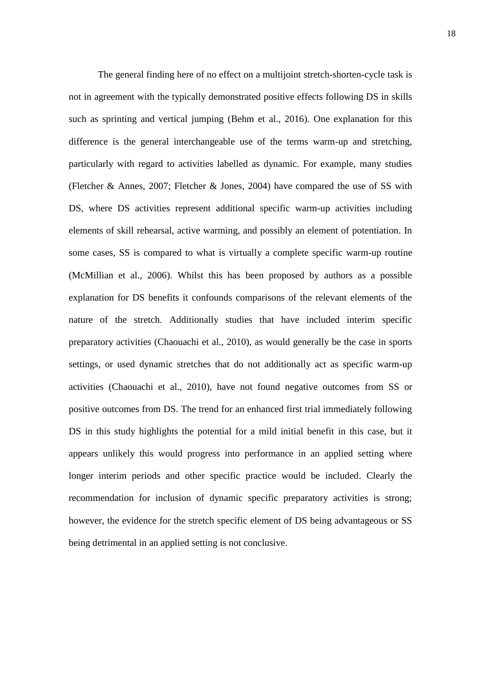The general finding here of no effect on a multijoint stretch-shorten-cycle task is not in agreement with the typically demonstrated positive effects following DS in skills such as sprinting and vertical jumping (Behm et al., 2016). One explanation for this difference is the general interchangeable use of the terms warm-up and stretching, particularly with regard to activities labelled as dynamic. For example, many studies (Fletcher & Annes, 2007; Fletcher & Jones, 2004) have compared the use of SS with DS, where DS activities represent additional specific warm-up activities including elements of skill rehearsal, active warming, and possibly an element of potentiation. In some cases, SS is compared to what is virtually a complete specific warm-up routine (McMillian et al., 2006). Whilst this has been proposed by authors as a possible explanation for DS benefits it confounds comparisons of the relevant elements of the nature of the stretch. Additionally studies that have included interim specific preparatory activities (Chaouachi et al., 2010), as would generally be the case in sports settings, or used dynamic stretches that do not additionally act as specific warm-up activities (Chaouachi et al., 2010), have not found negative outcomes from SS or positive outcomes from DS. The trend for an enhanced first trial immediately following DS in this study highlights the potential for a mild initial benefit in this case, but it appears unlikely this would progress into performance in an applied setting where longer interim periods and other specific practice would be included. Clearly the recommendation for inclusion of dynamic specific preparatory activities is strong; however, the evidence for the stretch specific element of DS being advantageous or SS being detrimental in an applied setting is not conclusive.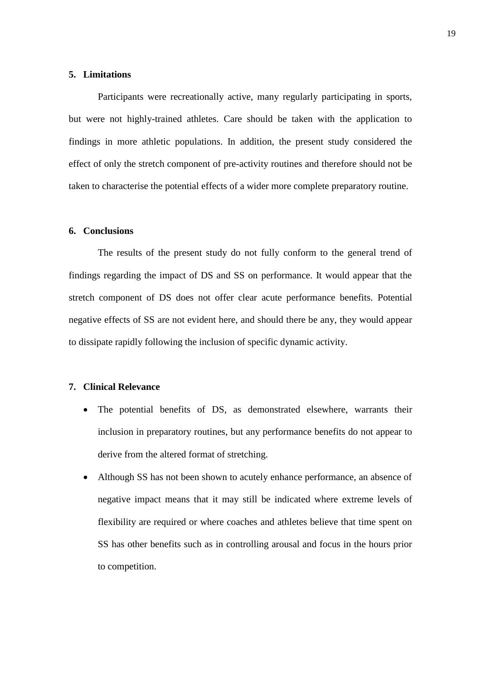### **5. Limitations**

Participants were recreationally active, many regularly participating in sports, but were not highly-trained athletes. Care should be taken with the application to findings in more athletic populations. In addition, the present study considered the effect of only the stretch component of pre-activity routines and therefore should not be taken to characterise the potential effects of a wider more complete preparatory routine.

#### **6. Conclusions**

The results of the present study do not fully conform to the general trend of findings regarding the impact of DS and SS on performance. It would appear that the stretch component of DS does not offer clear acute performance benefits. Potential negative effects of SS are not evident here, and should there be any, they would appear to dissipate rapidly following the inclusion of specific dynamic activity.

### **7. Clinical Relevance**

- The potential benefits of DS, as demonstrated elsewhere, warrants their inclusion in preparatory routines, but any performance benefits do not appear to derive from the altered format of stretching.
- Although SS has not been shown to acutely enhance performance, an absence of negative impact means that it may still be indicated where extreme levels of flexibility are required or where coaches and athletes believe that time spent on SS has other benefits such as in controlling arousal and focus in the hours prior to competition.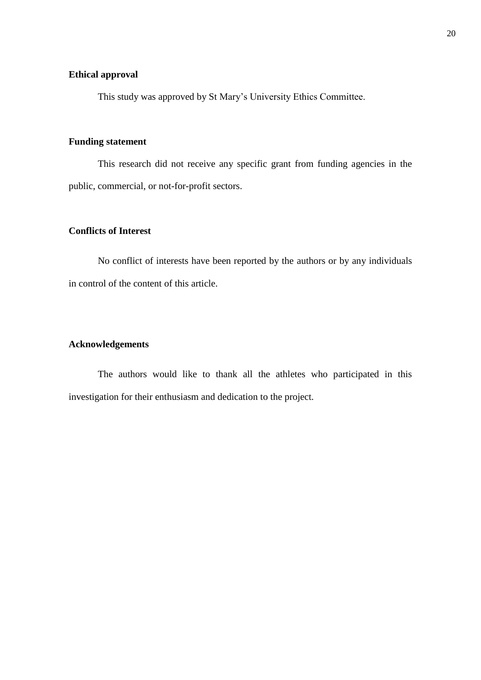### **Ethical approval**

This study was approved by St Mary's University Ethics Committee.

### **Funding statement**

This research did not receive any specific grant from funding agencies in the public, commercial, or not-for-profit sectors.

# **Conflicts of Interest**

No conflict of interests have been reported by the authors or by any individuals in control of the content of this article.

# **Acknowledgements**

The authors would like to thank all the athletes who participated in this investigation for their enthusiasm and dedication to the project.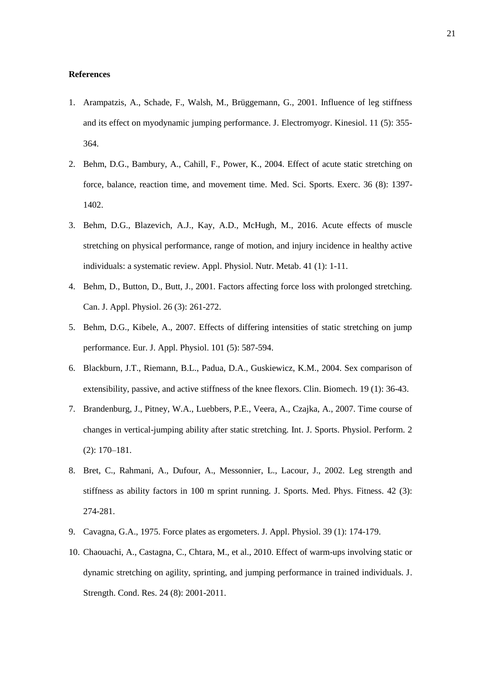#### **References**

- 1. Arampatzis, A., Schade, F., Walsh, M., Brüggemann, G., 2001. Influence of leg stiffness and its effect on myodynamic jumping performance. J. Electromyogr. Kinesiol. 11 (5): 355- 364.
- 2. Behm, D.G., Bambury, A., Cahill, F., Power, K., 2004. Effect of acute static stretching on force, balance, reaction time, and movement time. Med. Sci. Sports. Exerc. 36 (8): 1397- 1402.
- 3. Behm, D.G., Blazevich, A.J., Kay, A.D., McHugh, M., 2016. Acute effects of muscle stretching on physical performance, range of motion, and injury incidence in healthy active individuals: a systematic review. Appl. Physiol. Nutr. Metab. 41 (1): 1-11.
- 4. Behm, D., Button, D., Butt, J., 2001. Factors affecting force loss with prolonged stretching. Can. J. Appl. Physiol. 26 (3): 261-272.
- 5. Behm, D.G., Kibele, A., 2007. Effects of differing intensities of static stretching on jump performance. Eur. J. Appl. Physiol. 101 (5): 587-594.
- 6. Blackburn, J.T., Riemann, B.L., Padua, D.A., Guskiewicz, K.M., 2004. Sex comparison of extensibility, passive, and active stiffness of the knee flexors. Clin. Biomech. 19 (1): 36-43.
- 7. Brandenburg, J., Pitney, W.A., Luebbers, P.E., Veera, A., Czajka, A., 2007. Time course of changes in vertical-jumping ability after static stretching. Int. J. Sports. Physiol. Perform. 2 (2): 170–181.
- 8. Bret, C., Rahmani, A., Dufour, A., Messonnier, L., Lacour, J., 2002. Leg strength and stiffness as ability factors in 100 m sprint running. J. Sports. Med. Phys. Fitness. 42 (3): 274-281.
- 9. Cavagna, G.A., 1975. Force plates as ergometers. J. Appl. Physiol. 39 (1): 174-179.
- 10. Chaouachi, A., Castagna, C., Chtara, M., et al., 2010. Effect of warm-ups involving static or dynamic stretching on agility, sprinting, and jumping performance in trained individuals. J. Strength. Cond. Res. 24 (8): 2001-2011.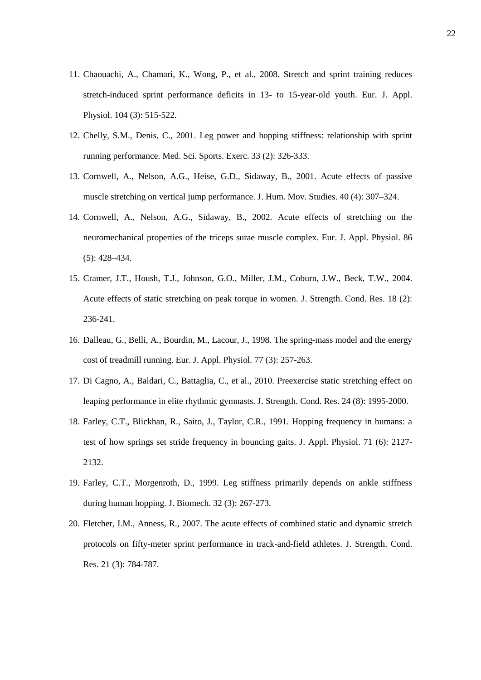- 11. Chaouachi, A., Chamari, K., Wong, P., et al., 2008. Stretch and sprint training reduces stretch-induced sprint performance deficits in 13- to 15-year-old youth. Eur. J. Appl. Physiol. 104 (3): 515-522.
- 12. Chelly, S.M., Denis, C., 2001. Leg power and hopping stiffness: relationship with sprint running performance. Med. Sci. Sports. Exerc. 33 (2): 326-333.
- 13. Cornwell, A., Nelson, A.G., Heise, G.D., Sidaway, B., 2001. Acute effects of passive muscle stretching on vertical jump performance. J. Hum. Mov. Studies. 40 (4): 307–324.
- 14. Cornwell, A., Nelson, A.G., Sidaway, B., 2002. Acute effects of stretching on the neuromechanical properties of the triceps surae muscle complex. Eur. J. Appl. Physiol. 86 (5): 428–434.
- 15. Cramer, J.T., Housh, T.J., Johnson, G.O., Miller, J.M., Coburn, J.W., Beck, T.W., 2004. Acute effects of static stretching on peak torque in women. J. Strength. Cond. Res. 18 (2): 236-241.
- 16. Dalleau, G., Belli, A., Bourdin, M., Lacour, J., 1998. The spring-mass model and the energy cost of treadmill running. Eur. J. Appl. Physiol. 77 (3): 257-263.
- 17. Di Cagno, A., Baldari, C., Battaglia, C., et al., 2010. Preexercise static stretching effect on leaping performance in elite rhythmic gymnasts. J. Strength. Cond. Res. 24 (8): 1995-2000.
- 18. Farley, C.T., Blickhan, R., Saito, J., Taylor, C.R., 1991. Hopping frequency in humans: a test of how springs set stride frequency in bouncing gaits. J. Appl. Physiol. 71 (6): 2127- 2132.
- 19. Farley, C.T., Morgenroth, D., 1999. Leg stiffness primarily depends on ankle stiffness during human hopping. J. Biomech. 32 (3): 267-273.
- 20. Fletcher, I.M., Anness, R., 2007. The acute effects of combined static and dynamic stretch protocols on fifty-meter sprint performance in track-and-field athletes. J. Strength. Cond. Res. 21 (3): 784-787.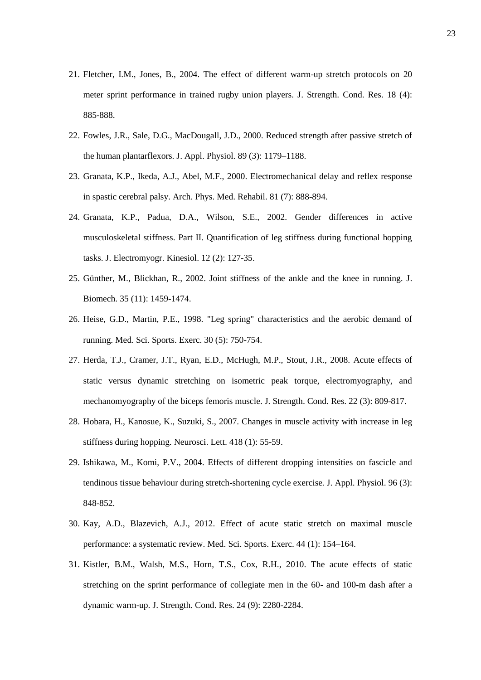- 21. Fletcher, I.M., Jones, B., 2004. The effect of different warm-up stretch protocols on 20 meter sprint performance in trained rugby union players. J. Strength. Cond. Res. 18 (4): 885-888.
- 22. Fowles, J.R., Sale, D.G., MacDougall, J.D., 2000. Reduced strength after passive stretch of the human plantarflexors. J. Appl. Physiol. 89 (3): 1179–1188.
- 23. Granata, K.P., Ikeda, A.J., Abel, M.F., 2000. Electromechanical delay and reflex response in spastic cerebral palsy. Arch. Phys. Med. Rehabil. 81 (7): 888-894.
- 24. Granata, K.P., Padua, D.A., Wilson, S.E., 2002. Gender differences in active musculoskeletal stiffness. Part II. Quantification of leg stiffness during functional hopping tasks. J. Electromyogr. Kinesiol. 12 (2): 127-35.
- 25. Günther, M., Blickhan, R., 2002. Joint stiffness of the ankle and the knee in running. J. Biomech. 35 (11): 1459-1474.
- 26. Heise, G.D., Martin, P.E., 1998. "Leg spring" characteristics and the aerobic demand of running. Med. Sci. Sports. Exerc. 30 (5): 750-754.
- 27. Herda, T.J., Cramer, J.T., Ryan, E.D., McHugh, M.P., Stout, J.R., 2008. Acute effects of static versus dynamic stretching on isometric peak torque, electromyography, and mechanomyography of the biceps femoris muscle. J. Strength. Cond. Res. 22 (3): 809-817.
- 28. Hobara, H., Kanosue, K., Suzuki, S., 2007. Changes in muscle activity with increase in leg stiffness during hopping. Neurosci. Lett. 418 (1): 55-59.
- 29. Ishikawa, M., Komi, P.V., 2004. Effects of different dropping intensities on fascicle and tendinous tissue behaviour during stretch-shortening cycle exercise*.* J. Appl. Physiol. 96 (3): 848-852.
- 30. Kay, A.D., Blazevich, A.J., 2012. Effect of acute static stretch on maximal muscle performance: a systematic review. Med. Sci. Sports. Exerc. 44 (1): 154–164.
- 31. Kistler, B.M., Walsh, M.S., Horn, T.S., Cox, R.H., 2010. The acute effects of static stretching on the sprint performance of collegiate men in the 60- and 100-m dash after a dynamic warm-up. J. Strength. Cond. Res. 24 (9): 2280-2284.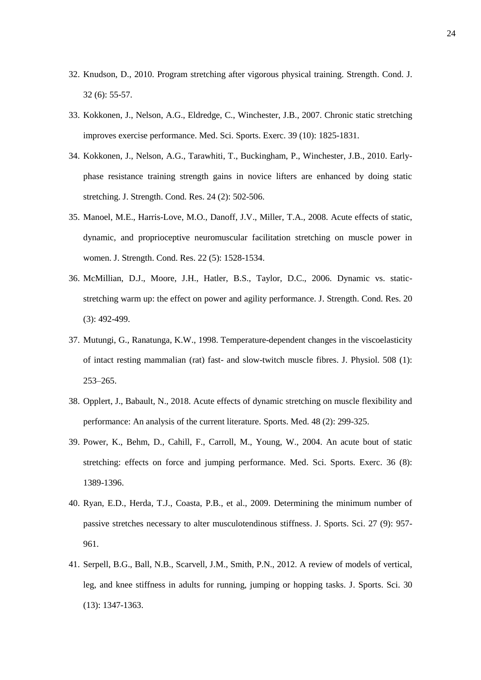- 32. Knudson, D., 2010. Program stretching after vigorous physical training. Strength. Cond. J. 32 (6): 55-57.
- 33. Kokkonen, J., Nelson, A.G., Eldredge, C., Winchester, J.B., 2007. Chronic static stretching improves exercise performance. Med. Sci. Sports. Exerc. 39 (10): 1825-1831.
- 34. Kokkonen, J., Nelson, A.G., Tarawhiti, T., Buckingham, P., Winchester, J.B., 2010. Earlyphase resistance training strength gains in novice lifters are enhanced by doing static stretching. J. Strength. Cond. Res. 24 (2): 502-506.
- 35. Manoel, M.E., Harris-Love, M.O., Danoff, J.V., Miller, T.A., 2008. Acute effects of static, dynamic, and proprioceptive neuromuscular facilitation stretching on muscle power in women. J. Strength. Cond. Res. 22 (5): 1528-1534.
- 36. McMillian, D.J., Moore, J.H., Hatler, B.S., Taylor, D.C., 2006. Dynamic vs. staticstretching warm up: the effect on power and agility performance. J. Strength. Cond. Res. 20 (3): 492-499.
- 37. Mutungi, G., Ranatunga, K.W., 1998. Temperature-dependent changes in the viscoelasticity of intact resting mammalian (rat) fast- and slow-twitch muscle fibres. J. Physiol. 508 (1): 253–265.
- 38. Opplert, J., Babault, N., 2018. Acute effects of dynamic stretching on muscle flexibility and performance: An analysis of the current literature. Sports. Med. 48 (2): 299-325.
- 39. Power, K., Behm, D., Cahill, F., Carroll, M., Young, W., 2004. An acute bout of static stretching: effects on force and jumping performance. Med. Sci. Sports. Exerc. 36 (8): 1389-1396.
- 40. Ryan, E.D., Herda, T.J., Coasta, P.B., et al., 2009. Determining the minimum number of passive stretches necessary to alter musculotendinous stiffness. J. Sports. Sci. 27 (9): 957- 961.
- 41. Serpell, B.G., Ball, N.B., Scarvell, J.M., Smith, P.N., 2012. A review of models of vertical, leg, and knee stiffness in adults for running, jumping or hopping tasks. J. Sports. Sci. 30 (13): 1347-1363.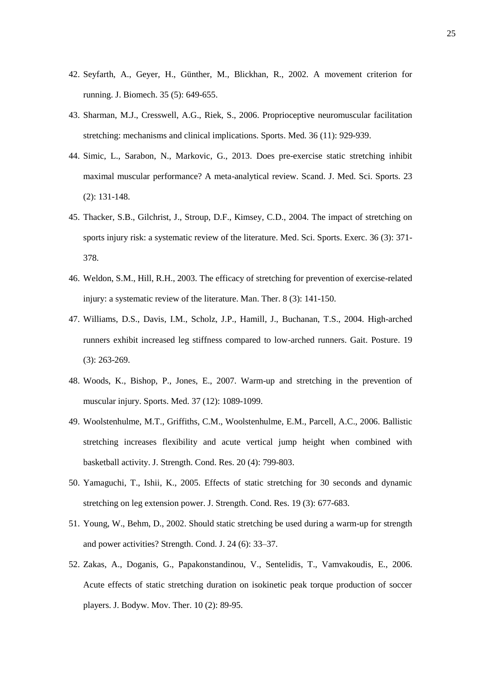- 42. Seyfarth, A., Geyer, H., Günther, M., Blickhan, R., 2002. A movement criterion for running. J. Biomech. 35 (5): 649-655.
- 43. Sharman, M.J., Cresswell, A.G., Riek, S., 2006. Proprioceptive neuromuscular facilitation stretching: mechanisms and clinical implications. Sports. Med. 36 (11): 929-939.
- 44. Simic, L., Sarabon, N., Markovic, G., 2013. Does pre-exercise static stretching inhibit maximal muscular performance? A meta-analytical review. Scand. J. Med. Sci. Sports. 23 (2): 131-148.
- 45. Thacker, S.B., Gilchrist, J., Stroup, D.F., Kimsey, C.D., 2004. The impact of stretching on sports injury risk: a systematic review of the literature. Med. Sci. Sports. Exerc. 36 (3): 371- 378.
- 46. Weldon, S.M., Hill, R.H., 2003. The efficacy of stretching for prevention of exercise-related injury: a systematic review of the literature. Man. Ther. 8 (3): 141-150.
- 47. Williams, D.S., Davis, I.M., Scholz, J.P., Hamill, J., Buchanan, T.S., 2004. High-arched runners exhibit increased leg stiffness compared to low-arched runners. Gait. Posture. 19 (3): 263-269.
- 48. Woods, K., Bishop, P., Jones, E., 2007. Warm-up and stretching in the prevention of muscular injury. Sports. Med. 37 (12): 1089-1099.
- 49. Woolstenhulme, M.T., Griffiths, C.M., Woolstenhulme, E.M., Parcell, A.C., 2006. Ballistic stretching increases flexibility and acute vertical jump height when combined with basketball activity. J. Strength. Cond. Res. 20 (4): 799-803.
- 50. Yamaguchi, T., Ishii, K., 2005. Effects of static stretching for 30 seconds and dynamic stretching on leg extension power. J. Strength. Cond. Res. 19 (3): 677-683.
- 51. Young, W., Behm, D., 2002. Should static stretching be used during a warm-up for strength and power activities? Strength. Cond. J. 24 (6): 33–37.
- 52. Zakas, A., Doganis, G., Papakonstandinou, V., Sentelidis, T., Vamvakoudis, E., 2006. Acute effects of static stretching duration on isokinetic peak torque production of soccer players. J. Bodyw. Mov. Ther. 10 (2): 89-95.